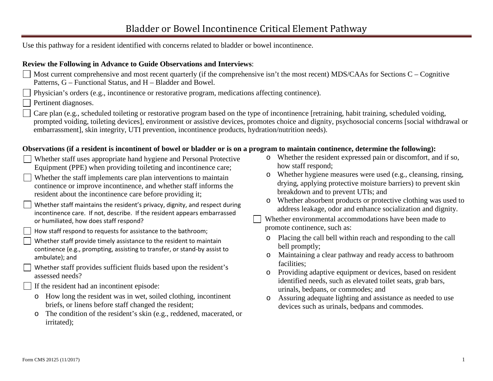Use this pathway for a resident identified with concerns related to bladder or bowel incontinence.

#### **Review the Following in Advance to Guide Observations and Interviews**:

- Most current comprehensive and most recent quarterly (if the comprehensive isn't the most recent) MDS/CAAs for Sections C Cognitive Patterns, G – Functional Status, and H – Bladder and Bowel.
- Physician's orders (e.g., incontinence or restorative program, medications affecting continence).
- Pertinent diagnoses.
- Care plan (e.g., scheduled toileting or restorative program based on the type of incontinence [retraining, habit training, scheduled voiding, prompted voiding, toileting devices], environment or assistive devices, promotes choice and dignity, psychosocial concerns [social withdrawal or embarrassment], skin integrity, UTI prevention, incontinence products, hydration/nutrition needs).

### **Observations (if a resident is incontinent of bowel or bladder or is on a program to maintain continence, determine the following):**

- Whether staff uses appropriate hand hygiene and Personal Protective Equipment (PPE) when providing toileting and incontinence care;
- Whether the staff implements care plan interventions to maintain continence or improve incontinence, and whether staff informs the resident about the incontinence care before providing it;
- Whether staff maintains the resident's privacy, dignity, and respect during incontinence care. If not, describe. If the resident appears embarrassed or humiliated, how does staff respond?
- How staff respond to requests for assistance to the bathroom;
- Whether staff provide timely assistance to the resident to maintain continence (e.g., prompting, assisting to transfer, or stand-by assist to ambulate); and
- Whether staff provides sufficient fluids based upon the resident's assessed needs?
- If the resident had an incontinent episode:
- o How long the resident was in wet, soiled clothing, incontinent briefs, or linens before staff changed the resident;
- o The condition of the resident's skin (e.g., reddened, macerated, or irritated);
- o Whether the resident expressed pain or discomfort, and if so, how staff respond;
- o Whether hygiene measures were used (e.g., cleansing, rinsing, drying, applying protective moisture barriers) to prevent skin breakdown and to prevent UTIs; and
- o Whether absorbent products or protective clothing was used to address leakage, odor and enhance socialization and dignity.
- Whether environmental accommodations have been made to promote continence, such as:
- o Placing the call bell within reach and responding to the call bell promptly;
- o Maintaining a clear pathway and ready access to bathroom facilities;
- o Providing adaptive equipment or devices, based on resident identified needs, such as elevated toilet seats, grab bars, urinals, bedpans, or commodes; and
- o Assuring adequate lighting and assistance as needed to use devices such as urinals, bedpans and commodes.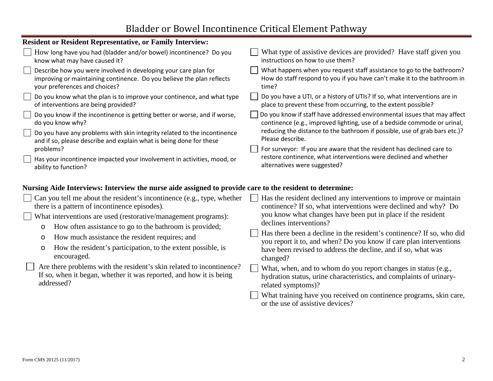# Bladder or Bowel Incontinence Critical Element Pathway

| <b>Resident or Resident Representative, or Family Interview:</b>                                         |                                                                                                                                             |  |  |  |  |
|----------------------------------------------------------------------------------------------------------|---------------------------------------------------------------------------------------------------------------------------------------------|--|--|--|--|
| How long have you had (bladder and/or bowel) incontinence? Do you                                        | What type of assistive devices are provided? Have staff given you                                                                           |  |  |  |  |
| know what may have caused it?                                                                            | instructions on how to use them?                                                                                                            |  |  |  |  |
| Describe how you were involved in developing your care plan for                                          | What happens when you request staff assistance to go to the bathroom?                                                                       |  |  |  |  |
| improving or maintaining continence. Do you believe the plan reflects                                    | How do staff respond to you if you have can't make it to the bathroom in                                                                    |  |  |  |  |
| your preferences and choices?                                                                            | time?                                                                                                                                       |  |  |  |  |
| Do you know what the plan is to improve your continence, and what type                                   | Do you have a UTI, or a history of UTIs? If so, what interventions are in                                                                   |  |  |  |  |
| of interventions are being provided?                                                                     | place to prevent these from occurring, to the extent possible?                                                                              |  |  |  |  |
| Do you know if the incontinence is getting better or worse, and if worse,                                | Do you know if staff have addressed environmental issues that may affect                                                                    |  |  |  |  |
| do you know why?                                                                                         | continence (e.g., improved lighting, use of a bedside commode or urinal,                                                                    |  |  |  |  |
| Do you have any problems with skin integrity related to the incontinence                                 | reducing the distance to the bathroom if possible, use of grab bars etc.)?                                                                  |  |  |  |  |
| and if so, please describe and explain what is being done for these                                      | Please describe.                                                                                                                            |  |  |  |  |
| problems?                                                                                                | For surveyor: If you are aware that the resident has declined care to                                                                       |  |  |  |  |
| Has your incontinence impacted your involvement in activities, mood, or                                  | restore continence, what interventions were declined and whether                                                                            |  |  |  |  |
| ability to function?                                                                                     | alternatives were suggested?                                                                                                                |  |  |  |  |
| Nursing Aide Interviews: Interview the nurse aide assigned to provide care to the resident to determine: |                                                                                                                                             |  |  |  |  |
| Can you tell me about the resident's incontinence (e.g., type, whether                                   | Has the resident declined any interventions to improve or maintain                                                                          |  |  |  |  |
| there is a pattern of incontinence episodes).                                                            | continence? If so, what interventions were declined and why? Do                                                                             |  |  |  |  |
| What interventions are used (restorative/management programs):                                           | you know what changes have been put in place if the resident                                                                                |  |  |  |  |
| How often assistance to go to the bathroom is provided;                                                  | declines interventions?                                                                                                                     |  |  |  |  |
| $\circ$<br>How much assistance the resident requires; and<br>$\circ$                                     | Has there been a decline in the resident's continence? If so, who did<br>you report it to, and when? Do you know if care plan interventions |  |  |  |  |
| How the resident's participation, to the extent possible, is<br>$\circ$<br>encouraged.                   | have been revised to address the decline, and if so, what was<br>changed?                                                                   |  |  |  |  |
| Are there problems with the resident's skin related to incontinence?                                     | What, when, and to whom do you report changes in status (e.g.,                                                                              |  |  |  |  |
| If so, when it began, whether it was reported, and how it is being                                       | hydration status, urine characteristics, and complaints of urinary-                                                                         |  |  |  |  |
| addressed?                                                                                               | related symptoms)?                                                                                                                          |  |  |  |  |
|                                                                                                          | What training have you received on continence programs, skin care,<br>or the use of assistive devices?                                      |  |  |  |  |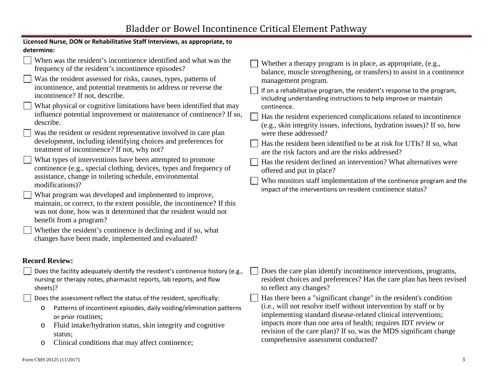| Licensed Nurse, DON or Rehabilitative Staff Interviews, as appropriate, to                                                                                                                                                                                                                                                                                                                                                                                                                                                                                                                                                                                                                                                                                                                                                                                                                                                                                                                                                                                                                                                                                                                                                               |                                                                                                                                                                                                                                                                                                                                                                                                                                                                                                                                                                                                                                                                                                                                                                                                                                                                            |  |  |  |  |  |
|------------------------------------------------------------------------------------------------------------------------------------------------------------------------------------------------------------------------------------------------------------------------------------------------------------------------------------------------------------------------------------------------------------------------------------------------------------------------------------------------------------------------------------------------------------------------------------------------------------------------------------------------------------------------------------------------------------------------------------------------------------------------------------------------------------------------------------------------------------------------------------------------------------------------------------------------------------------------------------------------------------------------------------------------------------------------------------------------------------------------------------------------------------------------------------------------------------------------------------------|----------------------------------------------------------------------------------------------------------------------------------------------------------------------------------------------------------------------------------------------------------------------------------------------------------------------------------------------------------------------------------------------------------------------------------------------------------------------------------------------------------------------------------------------------------------------------------------------------------------------------------------------------------------------------------------------------------------------------------------------------------------------------------------------------------------------------------------------------------------------------|--|--|--|--|--|
| determine:                                                                                                                                                                                                                                                                                                                                                                                                                                                                                                                                                                                                                                                                                                                                                                                                                                                                                                                                                                                                                                                                                                                                                                                                                               |                                                                                                                                                                                                                                                                                                                                                                                                                                                                                                                                                                                                                                                                                                                                                                                                                                                                            |  |  |  |  |  |
| $\Box$ When was the resident's incontinence identified and what was the<br>frequency of the resident's incontinence episodes?<br>Was the resident assessed for risks, causes, types, patterns of<br>incontinence, and potential treatments to address or reverse the<br>incontinence? If not, describe.<br>What physical or cognitive limitations have been identified that may<br>influence potential improvement or maintenance of continence? If so,<br>describe.<br>Was the resident or resident representative involved in care plan<br>development, including identifying choices and preferences for<br>treatment of incontinence? If not, why not?<br>What types of interventions have been attempted to promote<br>continence (e.g., special clothing, devices, types and frequency of<br>assistance, change in toileting schedule, environmental<br>modifications)?<br>What program was developed and implemented to improve,<br>maintain, or correct, to the extent possible, the incontinence? If this<br>was not done, how was it determined that the resident would not<br>benefit from a program?<br>Whether the resident's continence is declining and if so, what<br>changes have been made, implemented and evaluated? | Whether a therapy program is in place, as appropriate, (e.g.,<br>balance, muscle strengthening, or transfers) to assist in a continence<br>management program.<br>If on a rehabilitative program, the resident's response to the program,<br>including understanding instructions to help improve or maintain<br>continence.<br>Has the resident experienced complications related to incontinence<br>(e.g., skin integrity issues, infections, hydration issues)? If so, how<br>were these addressed?<br>Has the resident been identified to be at risk for UTIs? If so, what<br>are the risk factors and are the risks addressed?<br>Has the resident declined an intervention? What alternatives were<br>offered and put in place?<br>Who monitors staff implementation of the continence program and the<br>impact of the interventions on resident continence status? |  |  |  |  |  |
|                                                                                                                                                                                                                                                                                                                                                                                                                                                                                                                                                                                                                                                                                                                                                                                                                                                                                                                                                                                                                                                                                                                                                                                                                                          |                                                                                                                                                                                                                                                                                                                                                                                                                                                                                                                                                                                                                                                                                                                                                                                                                                                                            |  |  |  |  |  |
| <b>Record Review:</b>                                                                                                                                                                                                                                                                                                                                                                                                                                                                                                                                                                                                                                                                                                                                                                                                                                                                                                                                                                                                                                                                                                                                                                                                                    |                                                                                                                                                                                                                                                                                                                                                                                                                                                                                                                                                                                                                                                                                                                                                                                                                                                                            |  |  |  |  |  |
| Does the facility adequately identify the resident's continence history (e.g.,<br>nursing or therapy notes, pharmacist reports, lab reports, and flow<br>sheets)?                                                                                                                                                                                                                                                                                                                                                                                                                                                                                                                                                                                                                                                                                                                                                                                                                                                                                                                                                                                                                                                                        | Does the care plan identify incontinence interventions, programs,<br>resident choices and preferences? Has the care plan has been revised<br>to reflect any changes?                                                                                                                                                                                                                                                                                                                                                                                                                                                                                                                                                                                                                                                                                                       |  |  |  |  |  |
| Does the assessment reflect the status of the resident, specifically:<br>Patterns of incontinent episodes, daily voiding/elimination patterns<br>$\circ$<br>or prior routines;<br>Fluid intake/hydration status, skin integrity and cognitive<br>$\circ$<br>status;<br>Clinical conditions that may affect continence;<br>$\circ$                                                                                                                                                                                                                                                                                                                                                                                                                                                                                                                                                                                                                                                                                                                                                                                                                                                                                                        | Has there been a "significant change" in the resident's condition<br>(i.e., will not resolve itself without intervention by staff or by<br>implementing standard disease-related clinical interventions;<br>impacts more than one area of health; requires IDT review or<br>revision of the care plan)? If so, was the MDS significant change<br>comprehensive assessment conducted?                                                                                                                                                                                                                                                                                                                                                                                                                                                                                       |  |  |  |  |  |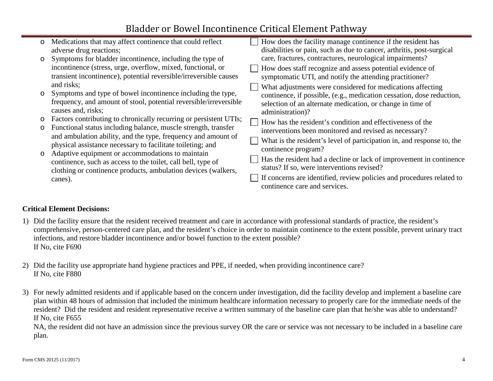## Bladder or Bowel Incontinence Critical Element Pathway

| $\circ$ | Medications that may affect continence that could reflect                                                                       |  | How does the facility manage continence if the resident has            |
|---------|---------------------------------------------------------------------------------------------------------------------------------|--|------------------------------------------------------------------------|
|         | adverse drug reactions;                                                                                                         |  | disabilities or pain, such as due to cancer, arthritis, post-surgical  |
| $\circ$ | Symptoms for bladder incontinence, including the type of                                                                        |  | care, fractures, contractures, neurological impairments?               |
|         | incontinence (stress, urge, overflow, mixed, functional, or                                                                     |  | How does staff recognize and assess potential evidence of              |
|         | transient incontinence), potential reversible/irreversible causes                                                               |  | symptomatic UTI, and notify the attending practitioner?                |
|         | and risks;                                                                                                                      |  | What adjustments were considered for medications affecting             |
| $\circ$ | Symptoms and type of bowel incontinence including the type,                                                                     |  | continence, if possible, (e.g., medication cessation, dose reduction,  |
|         | frequency, and amount of stool, potential reversible/irreversible                                                               |  | selection of an alternate medication, or change in time of             |
|         | causes and, risks;                                                                                                              |  | administration)?                                                       |
| $\circ$ | Factors contributing to chronically recurring or persistent UTIs;                                                               |  | How has the resident's condition and effectiveness of the              |
| $\circ$ | Functional status including balance, muscle strength, transfer<br>and ambulation ability, and the type, frequency and amount of |  | interventions been monitored and revised as necessary?                 |
|         | physical assistance necessary to facilitate toileting; and                                                                      |  | What is the resident's level of participation in, and response to, the |
| $\circ$ | Adaptive equipment or accommodations to maintain<br>continence, such as access to the toilet, call bell, type of                |  | continence program?                                                    |
|         |                                                                                                                                 |  | Has the resident had a decline or lack of improvement in continence    |
|         | clothing or continence products, ambulation devices (walkers,                                                                   |  | status? If so, were interventions revised?                             |
|         | canes).                                                                                                                         |  | If concerns are identified, review policies and procedures related to  |
|         |                                                                                                                                 |  | continence care and services.                                          |

### **Critical Element Decisions:**

- 1) Did the facility ensure that the resident received treatment and care in accordance with professional standards of practice, the resident's comprehensive, person-centered care plan, and the resident's choice in order to maintain continence to the extent possible, prevent urinary tract infections, and restore bladder incontinence and/or bowel function to the extent possible? If No, cite F690
- 2) Did the facility use appropriate hand hygiene practices and PPE, if needed, when providing incontinence care? If No, cite F880
- 3) For newly admitted residents and if applicable based on the concern under investigation, did the facility develop and implement a baseline care plan within 48 hours of admission that included the minimum healthcare information necessary to properly care for the immediate needs of the resident? Did the resident and resident representative receive a written summary of the baseline care plan that he/she was able to understand? If No, cite F655

NA, the resident did not have an admission since the previous survey OR the care or service was not necessary to be included in a baseline care plan.